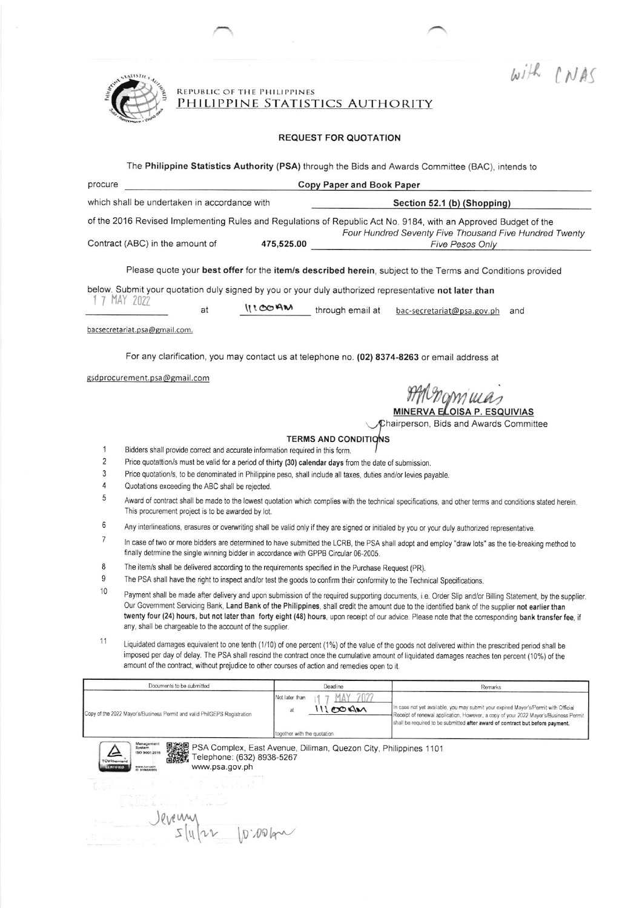With CNAS



REPUBLIC OF THE PHILIPPINES<br>PHILIPPINE STATISTICS AUTHORITY

## **REQUEST FOR QUOTATION**

The Philippine Statistics Authority (PSA) through the Bids and Awards Committee (BAC), intends to

| Copy Paper and Book Paper<br>procure                                                                                                               |                                                                                                                                                                                                                                                                                                                                                                                                                                                                                                                                      |                                                                  |                                                                                                                                                                                                                                                              |  |  |  |  |  |  |  |
|----------------------------------------------------------------------------------------------------------------------------------------------------|--------------------------------------------------------------------------------------------------------------------------------------------------------------------------------------------------------------------------------------------------------------------------------------------------------------------------------------------------------------------------------------------------------------------------------------------------------------------------------------------------------------------------------------|------------------------------------------------------------------|--------------------------------------------------------------------------------------------------------------------------------------------------------------------------------------------------------------------------------------------------------------|--|--|--|--|--|--|--|
| which shall be undertaken in accordance with                                                                                                       |                                                                                                                                                                                                                                                                                                                                                                                                                                                                                                                                      |                                                                  | Section 52.1 (b) (Shopping)                                                                                                                                                                                                                                  |  |  |  |  |  |  |  |
| of the 2016 Revised Implementing Rules and Regulations of Republic Act No. 9184, with an Approved Budget of the<br>Contract (ABC) in the amount of |                                                                                                                                                                                                                                                                                                                                                                                                                                                                                                                                      | 475,525.00                                                       | Four Hundred Seventy Five Thousand Five Hundred Twenty<br>Five Pesos Only                                                                                                                                                                                    |  |  |  |  |  |  |  |
|                                                                                                                                                    |                                                                                                                                                                                                                                                                                                                                                                                                                                                                                                                                      |                                                                  |                                                                                                                                                                                                                                                              |  |  |  |  |  |  |  |
| Please quote your best offer for the item/s described herein, subject to the Terms and Conditions provided                                         |                                                                                                                                                                                                                                                                                                                                                                                                                                                                                                                                      |                                                                  |                                                                                                                                                                                                                                                              |  |  |  |  |  |  |  |
| below. Submit your quotation duly signed by you or your duly authorized representative not later than                                              |                                                                                                                                                                                                                                                                                                                                                                                                                                                                                                                                      |                                                                  |                                                                                                                                                                                                                                                              |  |  |  |  |  |  |  |
| 1 7 MAY 2022<br>at                                                                                                                                 |                                                                                                                                                                                                                                                                                                                                                                                                                                                                                                                                      | 1100AM<br>through email at                                       | bac-secretariat@psa.gov.ph<br>and                                                                                                                                                                                                                            |  |  |  |  |  |  |  |
|                                                                                                                                                    | bacsecretariat.psa@gmail.com.                                                                                                                                                                                                                                                                                                                                                                                                                                                                                                        |                                                                  |                                                                                                                                                                                                                                                              |  |  |  |  |  |  |  |
|                                                                                                                                                    | For any clarification, you may contact us at telephone no. (02) 8374-8263 or email address at                                                                                                                                                                                                                                                                                                                                                                                                                                        |                                                                  |                                                                                                                                                                                                                                                              |  |  |  |  |  |  |  |
|                                                                                                                                                    | gsdprocurement.psa@gmail.com                                                                                                                                                                                                                                                                                                                                                                                                                                                                                                         |                                                                  | nomuas<br>MINERVA ELOISA P. ESQUIVIAS<br>Chairperson, Bids and Awards Committee                                                                                                                                                                              |  |  |  |  |  |  |  |
|                                                                                                                                                    |                                                                                                                                                                                                                                                                                                                                                                                                                                                                                                                                      | <b>TERMS AND CONDITIONS</b>                                      |                                                                                                                                                                                                                                                              |  |  |  |  |  |  |  |
| 1<br>$\overline{2}$<br>3<br>4<br>5                                                                                                                 | Bidders shall provide correct and accurate information required in this form.<br>Price quotattion/s must be valid for a period of thirty (30) calendar days from the date of submission.<br>Price quotation/s, to be denominated in Philippine peso, shall include all taxes, duties and/or levies payable.<br>Quotations exceeding the ABC shall be rejected.                                                                                                                                                                       |                                                                  |                                                                                                                                                                                                                                                              |  |  |  |  |  |  |  |
|                                                                                                                                                    | Award of contract shall be made to the lowest quotation which complies with the technical specifications, and other terms and conditions stated herein.<br>This procurement project is to be awarded by lot.                                                                                                                                                                                                                                                                                                                         |                                                                  |                                                                                                                                                                                                                                                              |  |  |  |  |  |  |  |
| 6                                                                                                                                                  | Any interlineations, erasures or overwriting shall be valid only if they are signed or initialed by you or your duly authorized representative.                                                                                                                                                                                                                                                                                                                                                                                      |                                                                  |                                                                                                                                                                                                                                                              |  |  |  |  |  |  |  |
| 7                                                                                                                                                  | In case of two or more bidders are determined to have submitted the LCRB, the PSA shall adopt and employ "draw lots" as the tie-breaking method to<br>finally detrmine the single winning bidder in accordance with GPPB Circular 06-2005.                                                                                                                                                                                                                                                                                           |                                                                  |                                                                                                                                                                                                                                                              |  |  |  |  |  |  |  |
| 8                                                                                                                                                  | The item/s shall be delivered according to the requirements specified in the Purchase Request (PR).                                                                                                                                                                                                                                                                                                                                                                                                                                  |                                                                  |                                                                                                                                                                                                                                                              |  |  |  |  |  |  |  |
| 9                                                                                                                                                  | The PSA shall have the right to inspect and/or test the goods to confirm their conformity to the Technical Specifications.                                                                                                                                                                                                                                                                                                                                                                                                           |                                                                  |                                                                                                                                                                                                                                                              |  |  |  |  |  |  |  |
| 10                                                                                                                                                 | Payment shall be made after delivery and upon submission of the required supporting documents, i.e. Order Slip and/or Billing Statement, by the supplier.<br>Our Government Servicing Bank, Land Bank of the Philippines, shall credit the amount due to the identified bank of the supplier not earlier than<br>twenty four (24) hours, but not later than forty eight (48) hours, upon receipt of our advice. Please note that the corresponding bank transfer fee, if<br>any, shall be chargeable to the account of the supplier. |                                                                  |                                                                                                                                                                                                                                                              |  |  |  |  |  |  |  |
| 11                                                                                                                                                 | Liquidated damages equivalent to one tenth (1/10) of one percent (1%) of the value of the goods not delivered within the prescribed period shall be<br>imposed per day of delay. The PSA shall rescind the contract once the cumulative amount of liquidated damages reaches ten percent (10%) of the<br>amount of the contract, without prejudice to other courses of action and remedies open to it.                                                                                                                               |                                                                  |                                                                                                                                                                                                                                                              |  |  |  |  |  |  |  |
|                                                                                                                                                    | Documents to be submitted                                                                                                                                                                                                                                                                                                                                                                                                                                                                                                            | Deadline                                                         | Remarks                                                                                                                                                                                                                                                      |  |  |  |  |  |  |  |
|                                                                                                                                                    | Copy of the 2022 Mayor's/Business Permit and valid PhilGEPS Registration                                                                                                                                                                                                                                                                                                                                                                                                                                                             | Not later than<br>11100<br>at<br>together with the quotation     | In case not yet available, you may submit your expired Mayor's/Permit with Official<br>Receipt of renewal application. However, a copy of your 2022 Mayor's/Business Permit<br>shall be required to be submitted after award of contract but before payment. |  |  |  |  |  |  |  |
|                                                                                                                                                    | Menagen<br>System<br>ISO 9001:2015<br>elephone: (632) 8938-5267                                                                                                                                                                                                                                                                                                                                                                                                                                                                      | PSA Complex, East Avenue, Diliman, Quezon City, Philippines 1101 |                                                                                                                                                                                                                                                              |  |  |  |  |  |  |  |



Jevening

озха www.psa.gov.ph

 $10.00 km$